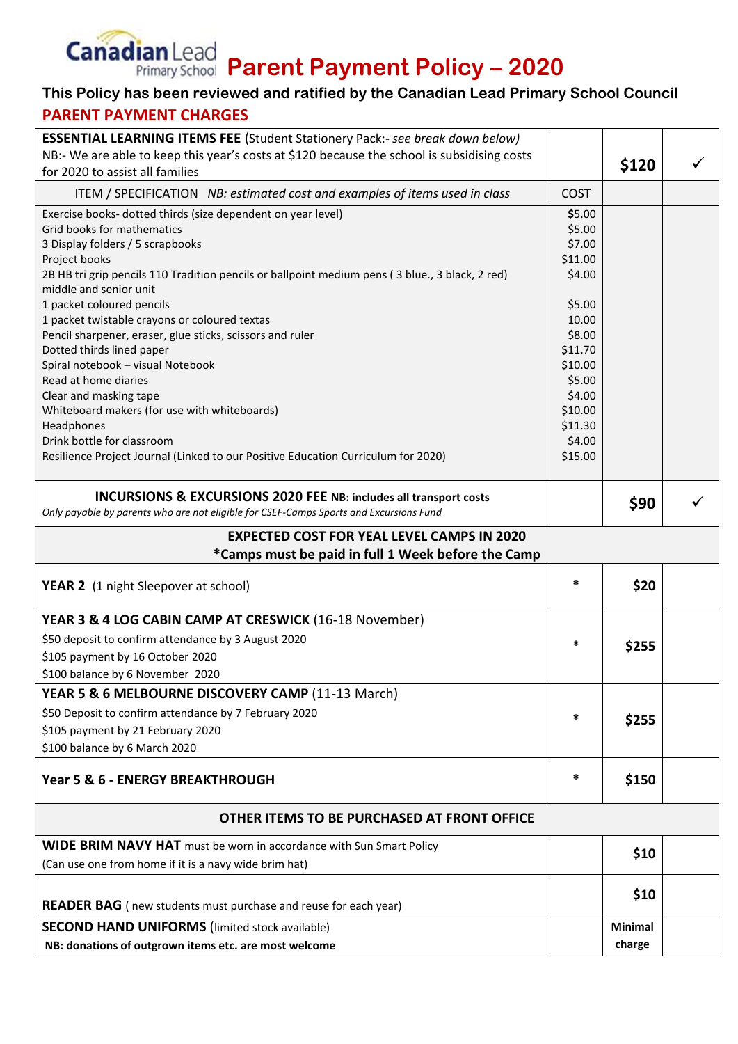# **Canadian Lead Parent Payment Policy - 2020**

## **This Policy has been reviewed and ratified by the Canadian Lead Primary School Council PARENT PAYMENT CHARGES**

| <b>ESSENTIAL LEARNING ITEMS FEE (Student Stationery Pack:- see break down below)</b>            |                   |         |  |
|-------------------------------------------------------------------------------------------------|-------------------|---------|--|
| NB:- We are able to keep this year's costs at \$120 because the school is subsidising costs     |                   |         |  |
| for 2020 to assist all families                                                                 |                   | \$120   |  |
| ITEM / SPECIFICATION NB: estimated cost and examples of items used in class                     | <b>COST</b>       |         |  |
| Exercise books- dotted thirds (size dependent on year level)                                    | \$5.00            |         |  |
| Grid books for mathematics                                                                      | \$5.00            |         |  |
| 3 Display folders / 5 scrapbooks                                                                | \$7.00            |         |  |
| Project books                                                                                   | \$11.00           |         |  |
| 2B HB tri grip pencils 110 Tradition pencils or ballpoint medium pens (3 blue., 3 black, 2 red) | \$4.00            |         |  |
| middle and senior unit                                                                          |                   |         |  |
| 1 packet coloured pencils                                                                       | \$5.00            |         |  |
| 1 packet twistable crayons or coloured textas                                                   | 10.00             |         |  |
| Pencil sharpener, eraser, glue sticks, scissors and ruler                                       | \$8.00            |         |  |
| Dotted thirds lined paper                                                                       | \$11.70           |         |  |
| Spiral notebook - visual Notebook<br>Read at home diaries                                       | \$10.00<br>\$5.00 |         |  |
| Clear and masking tape                                                                          | \$4.00            |         |  |
| Whiteboard makers (for use with whiteboards)                                                    | \$10.00           |         |  |
| Headphones                                                                                      | \$11.30           |         |  |
| Drink bottle for classroom                                                                      | \$4.00            |         |  |
| Resilience Project Journal (Linked to our Positive Education Curriculum for 2020)               | \$15.00           |         |  |
|                                                                                                 |                   |         |  |
| INCURSIONS & EXCURSIONS 2020 FEE NB: includes all transport costs                               |                   | \$90    |  |
| Only payable by parents who are not eligible for CSEF-Camps Sports and Excursions Fund          |                   |         |  |
| <b>EXPECTED COST FOR YEAL LEVEL CAMPS IN 2020</b>                                               |                   |         |  |
| *Camps must be paid in full 1 Week before the Camp                                              |                   |         |  |
|                                                                                                 |                   |         |  |
| <b>YEAR 2</b> (1 night Sleepover at school)                                                     | ∗                 | \$20    |  |
| YEAR 3 & 4 LOG CABIN CAMP AT CRESWICK (16-18 November)                                          |                   |         |  |
| \$50 deposit to confirm attendance by 3 August 2020                                             | $\ast$            | \$255   |  |
| \$105 payment by 16 October 2020                                                                |                   |         |  |
| \$100 balance by 6 November 2020                                                                |                   |         |  |
| YEAR 5 & 6 MELBOURNE DISCOVERY CAMP (11-13 March)                                               |                   |         |  |
| \$50 Deposit to confirm attendance by 7 February 2020                                           | ∗                 |         |  |
|                                                                                                 |                   |         |  |
|                                                                                                 |                   | \$255   |  |
| \$105 payment by 21 February 2020                                                               |                   |         |  |
| \$100 balance by 6 March 2020                                                                   |                   |         |  |
| Year 5 & 6 - ENERGY BREAKTHROUGH                                                                | ∗                 | \$150   |  |
| OTHER ITEMS TO BE PURCHASED AT FRONT OFFICE                                                     |                   |         |  |
|                                                                                                 |                   |         |  |
| WIDE BRIM NAVY HAT must be worn in accordance with Sun Smart Policy                             |                   | \$10    |  |
| (Can use one from home if it is a navy wide brim hat)                                           |                   |         |  |
|                                                                                                 |                   | \$10    |  |
| <b>READER BAG</b> (new students must purchase and reuse for each year)                          |                   |         |  |
| <b>SECOND HAND UNIFORMS</b> (limited stock available)                                           |                   | Minimal |  |